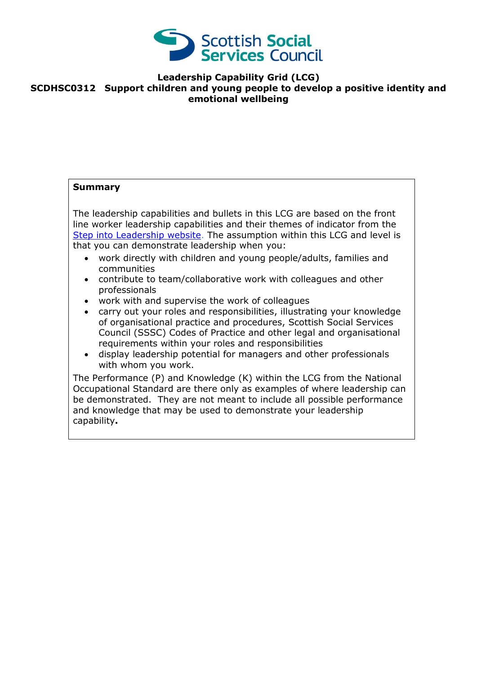

**Leadership Capability Grid (LCG)**

## **SCDHSC0312 Support children and young people to develop a positive identity and emotional wellbeing**

## **Summary** The leadership capabilities and bullets in this LCG are based on the front line worker leadership capabilities and their themes of indicator from the [Step into Leadership website.](http://www.stepintoleadership.info/) The assumption within this LCG and level is that you can demonstrate leadership when you: work directly with children and young people/adults, families and communities contribute to team/collaborative work with colleagues and other professionals work with and supervise the work of colleagues carry out your roles and responsibilities, illustrating your knowledge of organisational practice and procedures, Scottish Social Services Council (SSSC) Codes of Practice and other legal and organisational requirements within your roles and responsibilities display leadership potential for managers and other professionals with whom you work. The Performance (P) and Knowledge (K) within the LCG from the National Occupational Standard are there only as examples of where leadership can be demonstrated. They are not meant to include all possible performance and knowledge that may be used to demonstrate your leadership

capability**.**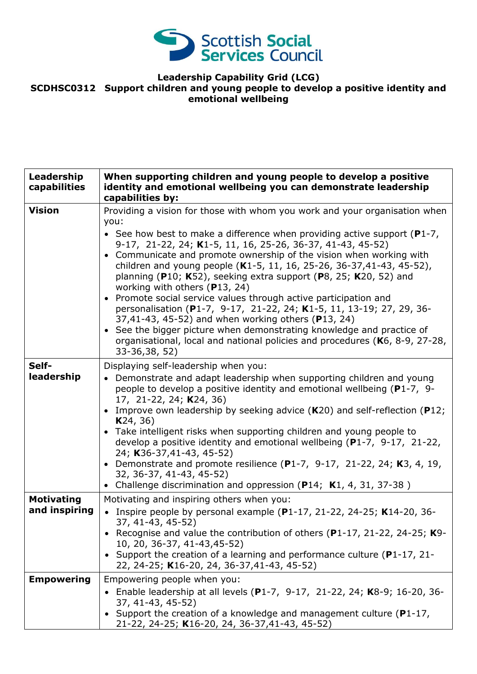

## **Leadership Capability Grid (LCG) SCDHSC0312 Support children and young people to develop a positive identity and emotional wellbeing**

| Leadership<br>capabilities         | When supporting children and young people to develop a positive<br>identity and emotional wellbeing you can demonstrate leadership<br>capabilities by:                                                                                                                                                                                                                                                                                                                                                                                                                                                                                                                                                                                                                                                                                                             |
|------------------------------------|--------------------------------------------------------------------------------------------------------------------------------------------------------------------------------------------------------------------------------------------------------------------------------------------------------------------------------------------------------------------------------------------------------------------------------------------------------------------------------------------------------------------------------------------------------------------------------------------------------------------------------------------------------------------------------------------------------------------------------------------------------------------------------------------------------------------------------------------------------------------|
| <b>Vision</b>                      | Providing a vision for those with whom you work and your organisation when<br>you:<br>• See how best to make a difference when providing active support ( $P1-7$ ,<br>9-17, 21-22, 24; K1-5, 11, 16, 25-26, 36-37, 41-43, 45-52)<br>• Communicate and promote ownership of the vision when working with<br>children and young people (K1-5, 11, 16, 25-26, 36-37, 41-43, 45-52),<br>planning (P10; K52), seeking extra support (P8, 25; K20, 52) and<br>working with others $(P13, 24)$<br>• Promote social service values through active participation and<br>personalisation (P1-7, 9-17, 21-22, 24; K1-5, 11, 13-19; 27, 29, 36-<br>37,41-43, 45-52) and when working others (P13, 24)<br>• See the bigger picture when demonstrating knowledge and practice of<br>organisational, local and national policies and procedures (K6, 8-9, 27-28,<br>33-36,38, 52) |
| Self-<br>leadership                | Displaying self-leadership when you:<br>• Demonstrate and adapt leadership when supporting children and young<br>people to develop a positive identity and emotional wellbeing (P1-7, 9-<br>17, 21-22, 24; K24, 36)<br>• Improve own leadership by seeking advice $(K20)$ and self-reflection (P12;<br>K24, 36)<br>• Take intelligent risks when supporting children and young people to<br>develop a positive identity and emotional wellbeing (P1-7, 9-17, 21-22,<br>24; K36-37,41-43, 45-52)<br>• Demonstrate and promote resilience $(P1-7, 9-17, 21-22, 24; K3, 4, 19,$<br>32, 36-37, 41-43, 45-52)<br>• Challenge discrimination and oppression (P14; K1, 4, 31, 37-38)                                                                                                                                                                                      |
| <b>Motivating</b><br>and inspiring | Motivating and inspiring others when you:<br>• Inspire people by personal example (P1-17, 21-22, 24-25; K14-20, 36-<br>37, 41-43, 45-52)<br>• Recognise and value the contribution of others (P1-17, 21-22, 24-25; K9-<br>10, 20, 36-37, 41-43, 45-52)<br>Support the creation of a learning and performance culture ( $P1-17$ , 21-<br>22, 24-25; K16-20, 24, 36-37, 41-43, 45-52)                                                                                                                                                                                                                                                                                                                                                                                                                                                                                |
| <b>Empowering</b>                  | Empowering people when you:<br>Enable leadership at all levels (P1-7, 9-17, 21-22, 24; K8-9; 16-20, 36-<br>37, 41-43, 45-52)<br>• Support the creation of a knowledge and management culture (P1-17,<br>21-22, 24-25; K16-20, 24, 36-37, 41-43, 45-52)                                                                                                                                                                                                                                                                                                                                                                                                                                                                                                                                                                                                             |